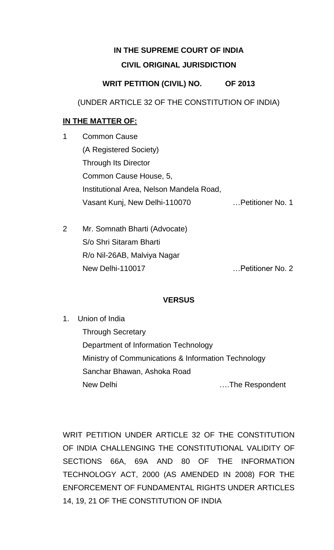# **IN THE SUPREME COURT OF INDIA CIVIL ORIGINAL JURISDICTION**

## **WRIT PETITION (CIVIL) NO. OF 2013**

(UNDER ARTICLE 32 OF THE CONSTITUTION OF INDIA)

## **IN THE MATTER OF:**

- 1 Common Cause (A Registered Society) Through Its Director Common Cause House, 5, Institutional Area, Nelson Mandela Road, Vasant Kunj, New Delhi-110070 …Petitioner No. 1
- 2 Mr. Somnath Bharti (Advocate) S/o Shri Sitaram Bharti R/o Nil-26AB, Malviya Nagar New Delhi-110017 …Petitioner No. 2

## **VERSUS**

1. Union of India Through Secretary Department of Information Technology Ministry of Communications & Information Technology Sanchar Bhawan, Ashoka Road New Delhi ….The Respondent

WRIT PETITION UNDER ARTICLE 32 OF THE CONSTITUTION OF INDIA CHALLENGING THE CONSTITUTIONAL VALIDITY OF SECTIONS 66A, 69A AND 80 OF THE INFORMATION TECHNOLOGY ACT, 2000 (AS AMENDED IN 2008) FOR THE ENFORCEMENT OF FUNDAMENTAL RIGHTS UNDER ARTICLES 14, 19, 21 OF THE CONSTITUTION OF INDIA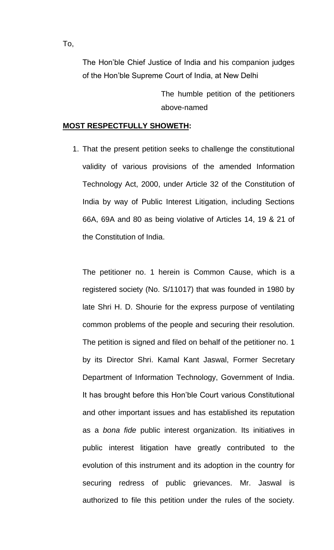The Hon'ble Chief Justice of India and his companion judges of the Hon'ble Supreme Court of India, at New Delhi

> The humble petition of the petitioners above-named

### **MOST RESPECTFULLY SHOWETH:**

1. That the present petition seeks to challenge the constitutional validity of various provisions of the amended Information Technology Act, 2000, under Article 32 of the Constitution of India by way of Public Interest Litigation, including Sections 66A, 69A and 80 as being violative of Articles 14, 19 & 21 of the Constitution of India.

The petitioner no. 1 herein is Common Cause, which is a registered society (No. S/11017) that was founded in 1980 by late Shri H. D. Shourie for the express purpose of ventilating common problems of the people and securing their resolution. The petition is signed and filed on behalf of the petitioner no. 1 by its Director Shri. Kamal Kant Jaswal, Former Secretary Department of Information Technology, Government of India. It has brought before this Hon'ble Court various Constitutional and other important issues and has established its reputation as a *bona fide* public interest organization. Its initiatives in public interest litigation have greatly contributed to the evolution of this instrument and its adoption in the country for securing redress of public grievances. Mr. Jaswal is authorized to file this petition under the rules of the society.

To,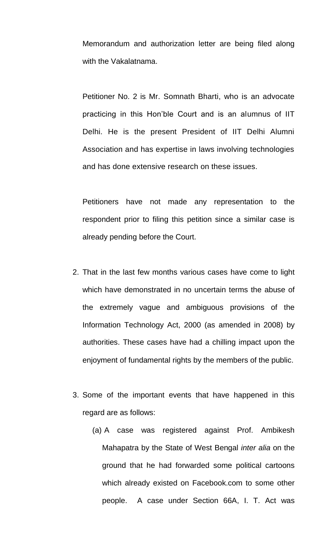Memorandum and authorization letter are being filed along with the Vakalatnama.

Petitioner No. 2 is Mr. Somnath Bharti, who is an advocate practicing in this Hon'ble Court and is an alumnus of IIT Delhi. He is the present President of IIT Delhi Alumni Association and has expertise in laws involving technologies and has done extensive research on these issues.

Petitioners have not made any representation to the respondent prior to filing this petition since a similar case is already pending before the Court.

- 2. That in the last few months various cases have come to light which have demonstrated in no uncertain terms the abuse of the extremely vague and ambiguous provisions of the Information Technology Act, 2000 (as amended in 2008) by authorities. These cases have had a chilling impact upon the enjoyment of fundamental rights by the members of the public.
- 3. Some of the important events that have happened in this regard are as follows:
	- (a) A case was registered against Prof. Ambikesh Mahapatra by the State of West Bengal *inter alia* on the ground that he had forwarded some political cartoons which already existed on Facebook.com to some other people. A case under Section 66A, I. T. Act was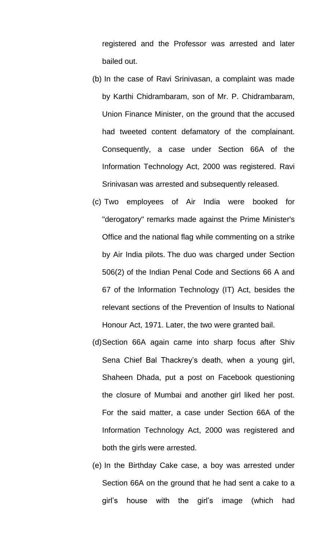registered and the Professor was arrested and later bailed out.

- (b) In the case of Ravi Srinivasan, a complaint was made by Karthi Chidrambaram, son of Mr. P. Chidrambaram, Union Finance Minister, on the ground that the accused had tweeted content defamatory of the complainant. Consequently, a case under Section 66A of the Information Technology Act, 2000 was registered. Ravi Srinivasan was arrested and subsequently released.
- (c) Two employees of Air India were booked for "derogatory" remarks made against the Prime Minister's Office and the national flag while commenting on a strike by Air India pilots. The duo was charged under Section 506(2) of the Indian Penal Code and Sections 66 A and 67 of the Information Technology (IT) Act, besides the relevant sections of the Prevention of Insults to National Honour Act, 1971. Later, the two were granted bail.
- (d)Section 66A again came into sharp focus after Shiv Sena Chief Bal Thackrey's death, when a young girl, Shaheen Dhada, put a post on Facebook questioning the closure of Mumbai and another girl liked her post. For the said matter, a case under Section 66A of the Information Technology Act, 2000 was registered and both the girls were arrested.
- (e) In the Birthday Cake case, a boy was arrested under Section 66A on the ground that he had sent a cake to a girl's house with the girl's image (which had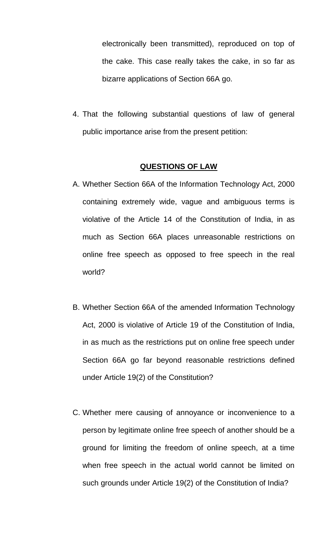electronically been transmitted), reproduced on top of the cake. This case really takes the cake, in so far as bizarre applications of Section 66A go.

4. That the following substantial questions of law of general public importance arise from the present petition:

## **QUESTIONS OF LAW**

- A. Whether Section 66A of the Information Technology Act, 2000 containing extremely wide, vague and ambiguous terms is violative of the Article 14 of the Constitution of India, in as much as Section 66A places unreasonable restrictions on online free speech as opposed to free speech in the real world?
- B. Whether Section 66A of the amended Information Technology Act, 2000 is violative of Article 19 of the Constitution of India, in as much as the restrictions put on online free speech under Section 66A go far beyond reasonable restrictions defined under Article 19(2) of the Constitution?
- C. Whether mere causing of annoyance or inconvenience to a person by legitimate online free speech of another should be a ground for limiting the freedom of online speech, at a time when free speech in the actual world cannot be limited on such grounds under Article 19(2) of the Constitution of India?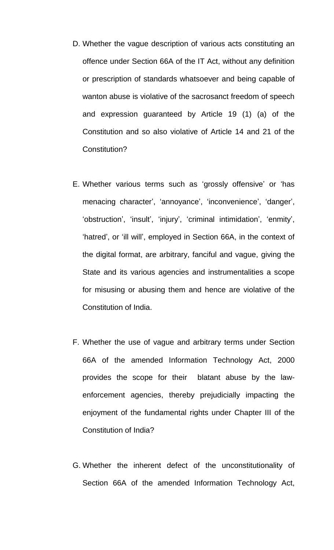- D. Whether the vague description of various acts constituting an offence under Section 66A of the IT Act, without any definition or prescription of standards whatsoever and being capable of wanton abuse is violative of the sacrosanct freedom of speech and expression guaranteed by Article 19 (1) (a) of the Constitution and so also violative of Article 14 and 21 of the Constitution?
- E. Whether various terms such as 'grossly offensive' or 'has menacing character', 'annoyance', 'inconvenience', 'danger', 'obstruction', 'insult', 'injury', 'criminal intimidation', 'enmity', 'hatred', or 'ill will', employed in Section 66A, in the context of the digital format, are arbitrary, fanciful and vague, giving the State and its various agencies and instrumentalities a scope for misusing or abusing them and hence are violative of the Constitution of India.
- F. Whether the use of vague and arbitrary terms under Section 66A of the amended Information Technology Act, 2000 provides the scope for their blatant abuse by the lawenforcement agencies, thereby prejudicially impacting the enjoyment of the fundamental rights under Chapter III of the Constitution of India?
- G. Whether the inherent defect of the unconstitutionality of Section 66A of the amended Information Technology Act,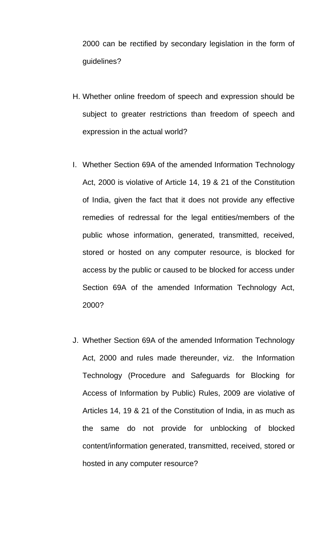2000 can be rectified by secondary legislation in the form of guidelines?

- H. Whether online freedom of speech and expression should be subject to greater restrictions than freedom of speech and expression in the actual world?
- I. Whether Section 69A of the amended Information Technology Act, 2000 is violative of Article 14, 19 & 21 of the Constitution of India, given the fact that it does not provide any effective remedies of redressal for the legal entities/members of the public whose information, generated, transmitted, received, stored or hosted on any computer resource, is blocked for access by the public or caused to be blocked for access under Section 69A of the amended Information Technology Act, 2000?
- J. Whether Section 69A of the amended Information Technology Act, 2000 and rules made thereunder, viz. the Information Technology (Procedure and Safeguards for Blocking for Access of Information by Public) Rules, 2009 are violative of Articles 14, 19 & 21 of the Constitution of India, in as much as the same do not provide for unblocking of blocked content/information generated, transmitted, received, stored or hosted in any computer resource?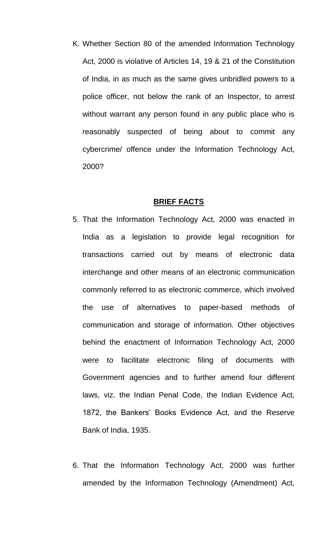K. Whether Section 80 of the amended Information Technology Act, 2000 is violative of Articles 14, 19 & 21 of the Constitution of India, in as much as the same gives unbridled powers to a police officer, not below the rank of an Inspector, to arrest without warrant any person found in any public place who is reasonably suspected of being about to commit any cybercrime/ offence under the Information Technology Act, 2000?

#### **BRIEF FACTS**

- 5. That the Information Technology Act, 2000 was enacted in India as a legislation to provide legal recognition for transactions carried out by means of electronic data interchange and other means of an electronic communication commonly referred to as electronic commerce, which involved the use of alternatives to paper-based methods of communication and storage of information. Other objectives behind the enactment of Information Technology Act, 2000 were to facilitate electronic filing of documents with Government agencies and to further amend four different laws, viz. the Indian Penal Code, the Indian Evidence Act, 1872, the Bankers' Books Evidence Act, and the Reserve Bank of India, 1935.
- 6. That the Information Technology Act, 2000 was further amended by the Information Technology (Amendment) Act,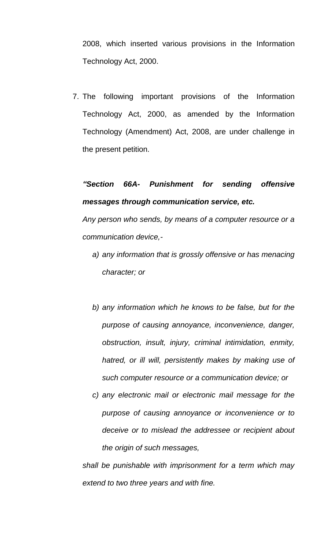2008, which inserted various provisions in the Information Technology Act, 2000.

7. The following important provisions of the Information Technology Act, 2000, as amended by the Information Technology (Amendment) Act, 2008, are under challenge in the present petition.

# *"Section 66A- Punishment for sending offensive messages through communication service, etc.*

*Any person who sends, by means of a computer resource or a communication device,-*

- *a) any information that is grossly offensive or has menacing character; or*
- *b) any information which he knows to be false, but for the purpose of causing annoyance, inconvenience, danger, obstruction, insult, injury, criminal intimidation, enmity, hatred, or ill will, persistently makes by making use of such computer resource or a communication device; or*
- *c) any electronic mail or electronic mail message for the purpose of causing annoyance or inconvenience or to deceive or to mislead the addressee or recipient about the origin of such messages,*

*shall be punishable with imprisonment for a term which may extend to two three years and with fine.*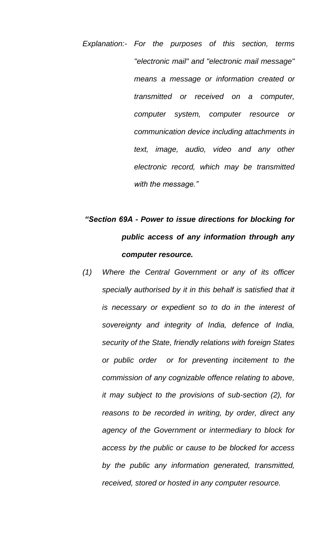*Explanation:- For the purposes of this section, terms "electronic mail" and "electronic mail message" means a message or information created or transmitted or received on a computer, computer system, computer resource or communication device including attachments in text, image, audio, video and any other electronic record, which may be transmitted with the message."*

# *"Section 69A - Power to issue directions for blocking for public access of any information through any computer resource.*

*(1) Where the Central Government or any of its officer specially authorised by it in this behalf is satisfied that it is necessary or expedient so to do in the interest of sovereignty and integrity of India, defence of India, security of the State, friendly relations with foreign States or public order or for preventing incitement to the commission of any cognizable offence relating to above, it may subject to the provisions of sub-section (2), for reasons to be recorded in writing, by order, direct any agency of the Government or intermediary to block for access by the public or cause to be blocked for access by the public any information generated, transmitted, received, stored or hosted in any computer resource.*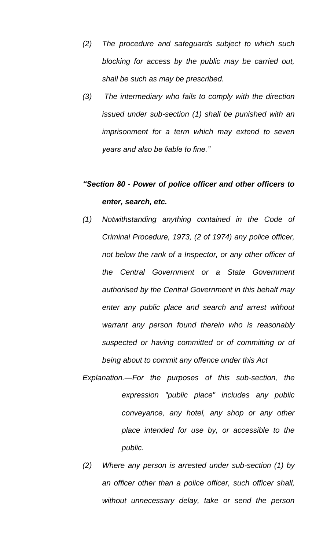- *(2) The procedure and safeguards subject to which such blocking for access by the public may be carried out, shall be such as may be prescribed.*
- *(3) The intermediary who fails to comply with the direction issued under sub-section (1) shall be punished with an imprisonment for a term which may extend to seven years and also be liable to fine."*

# *"Section 80 - Power of police officer and other officers to enter, search, etc.*

- *(1) Notwithstanding anything contained in the Code of Criminal Procedure, 1973, (2 of 1974) any police officer, not below the rank of a Inspector, or any other officer of the Central Government or a State Government authorised by the Central Government in this behalf may enter any public place and search and arrest without warrant any person found therein who is reasonably suspected or having committed or of committing or of being about to commit any offence under this Act*
- *Explanation.—For the purposes of this sub-section, the expression "public place" includes any public conveyance, any hotel, any shop or any other place intended for use by, or accessible to the public.*
- *(2) Where any person is arrested under sub-section (1) by an officer other than a police officer, such officer shall, without unnecessary delay, take or send the person*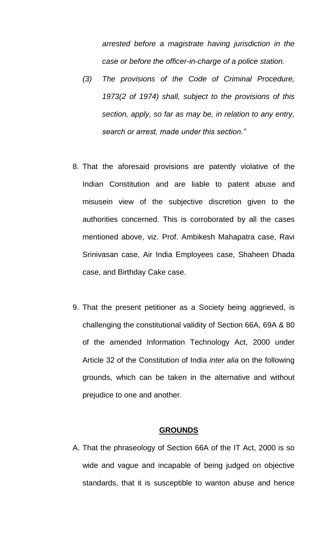*arrested before a magistrate having jurisdiction in the case or before the officer-in-charge of a police station.*

- *(3) The provisions of the Code of Criminal Procedure, 1973(2 of 1974) shall, subject to the provisions of this section, apply, so far as may be, in relation to any entry, search or arrest, made under this section."*
- 8. That the aforesaid provisions are patently violative of the Indian Constitution and are liable to patent abuse and misusein view of the subjective discretion given to the authorities concerned. This is corroborated by all the cases mentioned above, viz. Prof. Ambikesh Mahapatra case, Ravi Srinivasan case, Air India Employees case, Shaheen Dhada case, and Birthday Cake case.
- 9. That the present petitioner as a Society being aggrieved, is challenging the constitutional validity of Section 66A, 69A & 80 of the amended Information Technology Act, 2000 under Article 32 of the Constitution of India *inter alia* on the following grounds, which can be taken in the alternative and without prejudice to one and another.

### **GROUNDS**

A. That the phraseology of Section 66A of the IT Act, 2000 is so wide and vague and incapable of being judged on objective standards, that it is susceptible to wanton abuse and hence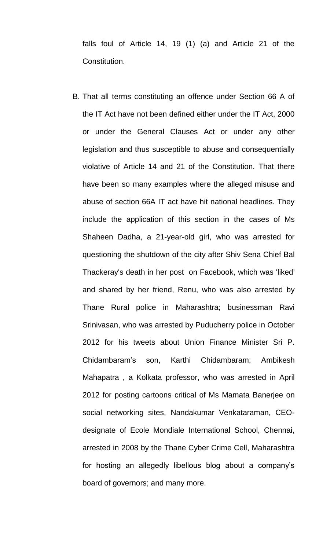falls foul of Article 14, 19 (1) (a) and Article 21 of the Constitution.

B. That all terms constituting an offence under Section 66 A of the IT Act have not been defined either under the IT Act, 2000 or under the General Clauses Act or under any other legislation and thus susceptible to abuse and consequentially violative of Article 14 and 21 of the Constitution. That there have been so many examples where the alleged misuse and abuse of section 66A IT act have hit national headlines. They include the application of this section in the cases of Ms Shaheen Dadha, a 21-year-old girl, who was arrested for questioning the shutdown of the city after Shiv Sena Chief Bal Thackeray's death in her post on Facebook, which was 'liked' and shared by her friend, Renu, who was also arrested by Thane Rural police in Maharashtra; businessman Ravi Srinivasan, who was arrested by Puducherry police in October 2012 for his tweets about Union Finance Minister Sri P. Chidambaram's son, Karthi Chidambaram; Ambikesh Mahapatra , a Kolkata professor, who was arrested in April 2012 for posting cartoons critical of Ms Mamata Banerjee on social networking sites, Nandakumar Venkataraman, CEOdesignate of Ecole Mondiale International School, Chennai, arrested in 2008 by the Thane Cyber Crime Cell, Maharashtra for hosting an allegedly libellous blog about a company's board of governors; and many more.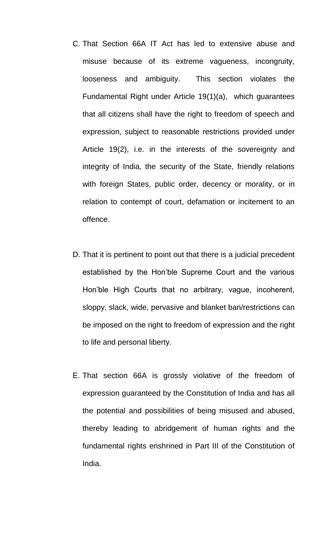- C. That Section 66A IT Act has led to extensive abuse and misuse because of its extreme vagueness, incongruity, looseness and ambiguity. This section violates the Fundamental Right under Article 19(1)(a), which guarantees that all citizens shall have the right to freedom of speech and expression, subject to reasonable restrictions provided under Article 19(2), i.e. in the interests of the sovereignty and integrity of India, the security of the State, friendly relations with foreign States, public order, decency or morality, or in relation to contempt of court, defamation or incitement to an offence.
- D. That it is pertinent to point out that there is a judicial precedent established by the Hon'ble Supreme Court and the various Hon'ble High Courts that no arbitrary, vague, incoherent, sloppy, slack, wide, pervasive and blanket ban/restrictions can be imposed on the right to freedom of expression and the right to life and personal liberty.
- E. That section 66A is grossly violative of the freedom of expression guaranteed by the Constitution of India and has all the potential and possibilities of being misused and abused, thereby leading to abridgement of human rights and the fundamental rights enshrined in Part III of the Constitution of India.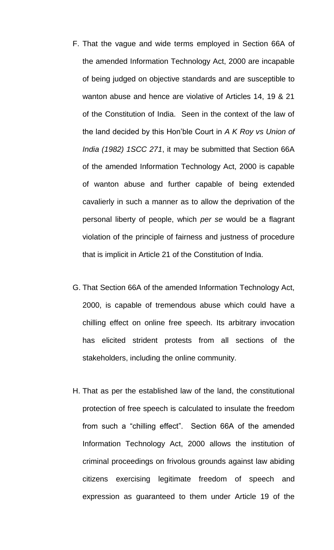- F. That the vague and wide terms employed in Section 66A of the amended Information Technology Act, 2000 are incapable of being judged on objective standards and are susceptible to wanton abuse and hence are violative of Articles 14, 19 & 21 of the Constitution of India. Seen in the context of the law of the land decided by this Hon'ble Court in *A K Roy vs Union of India (1982) 1SCC 271*, it may be submitted that Section 66A of the amended Information Technology Act, 2000 is capable of wanton abuse and further capable of being extended cavalierly in such a manner as to allow the deprivation of the personal liberty of people, which *per se* would be a flagrant violation of the principle of fairness and justness of procedure that is implicit in Article 21 of the Constitution of India.
- G. That Section 66A of the amended Information Technology Act, 2000, is capable of tremendous abuse which could have a chilling effect on online free speech. Its arbitrary invocation has elicited strident protests from all sections of the stakeholders, including the online community.
- H. That as per the established law of the land, the constitutional protection of free speech is calculated to insulate the freedom from such a "chilling effect". Section 66A of the amended Information Technology Act, 2000 allows the institution of criminal proceedings on frivolous grounds against law abiding citizens exercising legitimate freedom of speech and expression as guaranteed to them under Article 19 of the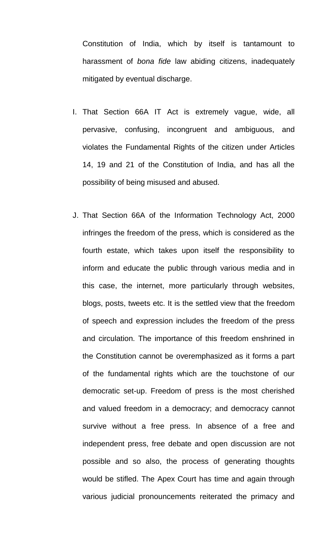Constitution of India, which by itself is tantamount to harassment of *bona fide* law abiding citizens, inadequately mitigated by eventual discharge.

- I. That Section 66A IT Act is extremely vague, wide, all pervasive, confusing, incongruent and ambiguous, and violates the Fundamental Rights of the citizen under Articles 14, 19 and 21 of the Constitution of India, and has all the possibility of being misused and abused.
- J. That Section 66A of the Information Technology Act, 2000 infringes the freedom of the press, which is considered as the fourth estate, which takes upon itself the responsibility to inform and educate the public through various media and in this case, the internet, more particularly through websites, blogs, posts, tweets etc. It is the settled view that the freedom of speech and expression includes the freedom of the press and circulation. The importance of this freedom enshrined in the Constitution cannot be overemphasized as it forms a part of the fundamental rights which are the touchstone of our democratic set-up. Freedom of press is the most cherished and valued freedom in a democracy; and democracy cannot survive without a free press. In absence of a free and independent press, free debate and open discussion are not possible and so also, the process of generating thoughts would be stifled. The Apex Court has time and again through various judicial pronouncements reiterated the primacy and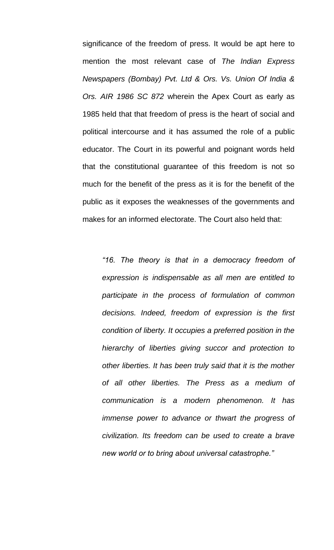significance of the freedom of press. It would be apt here to mention the most relevant case of *The Indian Express Newspapers (Bombay) Pvt. Ltd & Ors. Vs. Union Of India & Ors. AIR 1986 SC 872* wherein the Apex Court as early as 1985 held that that freedom of press is the heart of social and political intercourse and it has assumed the role of a public educator. The Court in its powerful and poignant words held that the constitutional guarantee of this freedom is not so much for the benefit of the press as it is for the benefit of the public as it exposes the weaknesses of the governments and makes for an informed electorate. The Court also held that:

*"16. The theory is that in a democracy freedom of expression is indispensable as all men are entitled to participate in the process of formulation of common decisions. Indeed, freedom of expression is the first condition of liberty. It occupies a preferred position in the hierarchy of liberties giving succor and protection to other liberties. It has been truly said that it is the mother of all other liberties. The Press as a medium of communication is a modern phenomenon. It has immense power to advance or thwart the progress of civilization. Its freedom can be used to create a brave new world or to bring about universal catastrophe."*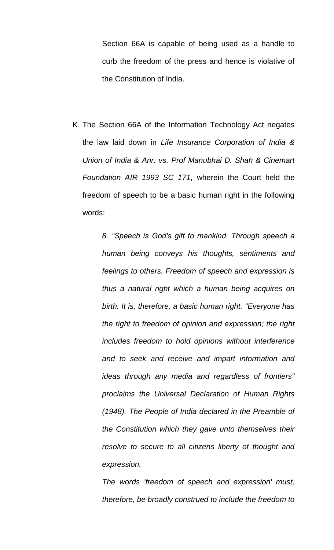Section 66A is capable of being used as a handle to curb the freedom of the press and hence is violative of the Constitution of India.

K. The Section 66A of the Information Technology Act negates the law laid down in *Life Insurance Corporation of India & Union of India & Anr. vs. Prof Manubhai D. Shah & Cinemart Foundation AIR 1993 SC 171*, wherein the Court held the freedom of speech to be a basic human right in the following words:

> *8. "Speech is God's gift to mankind. Through speech a human being conveys his thoughts, sentiments and feelings to others. Freedom of speech and expression is thus a natural right which a human being acquires on birth. It is, therefore, a basic human right. "Everyone has the right to freedom of opinion and expression; the right includes freedom to hold opinions without interference and to seek and receive and impart information and ideas through any media and regardless of frontiers" proclaims the Universal Declaration of Human Rights (1948). The People of India declared in the Preamble of the Constitution which they gave unto themselves their resolve to secure to all citizens liberty of thought and expression.*

> *The words 'freedom of speech and expression' must, therefore, be broadly construed to include the freedom to*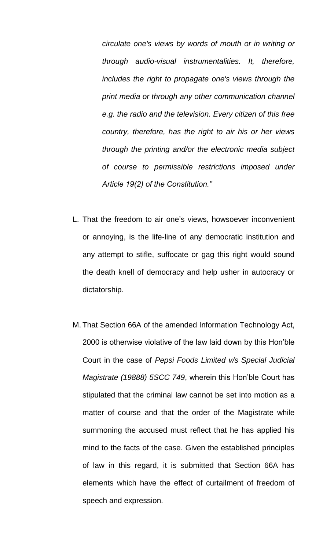*circulate one's views by words of mouth or in writing or through audio-visual instrumentalities. It, therefore, includes the right to propagate one's views through the print media or through any other communication channel e.g. the radio and the television. Every citizen of this free country, therefore, has the right to air his or her views through the printing and/or the electronic media subject of course to permissible restrictions imposed under Article 19(2) of the Constitution."*

- L. That the freedom to air one's views, howsoever inconvenient or annoying, is the life-line of any democratic institution and any attempt to stifle, suffocate or gag this right would sound the death knell of democracy and help usher in autocracy or dictatorship.
- M. That Section 66A of the amended Information Technology Act, 2000 is otherwise violative of the law laid down by this Hon'ble Court in the case of *Pepsi Foods Limited v/s Special Judicial Magistrate (19888) 5SCC 749*, wherein this Hon'ble Court has stipulated that the criminal law cannot be set into motion as a matter of course and that the order of the Magistrate while summoning the accused must reflect that he has applied his mind to the facts of the case. Given the established principles of law in this regard, it is submitted that Section 66A has elements which have the effect of curtailment of freedom of speech and expression.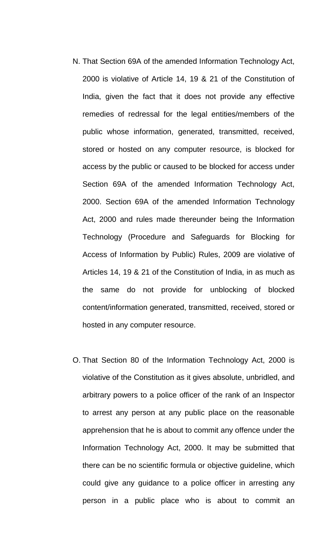- N. That Section 69A of the amended Information Technology Act, 2000 is violative of Article 14, 19 & 21 of the Constitution of India, given the fact that it does not provide any effective remedies of redressal for the legal entities/members of the public whose information, generated, transmitted, received, stored or hosted on any computer resource, is blocked for access by the public or caused to be blocked for access under Section 69A of the amended Information Technology Act, 2000. Section 69A of the amended Information Technology Act, 2000 and rules made thereunder being the Information Technology (Procedure and Safeguards for Blocking for Access of Information by Public) Rules, 2009 are violative of Articles 14, 19 & 21 of the Constitution of India, in as much as the same do not provide for unblocking of blocked content/information generated, transmitted, received, stored or hosted in any computer resource.
- O. That Section 80 of the Information Technology Act, 2000 is violative of the Constitution as it gives absolute, unbridled, and arbitrary powers to a police officer of the rank of an Inspector to arrest any person at any public place on the reasonable apprehension that he is about to commit any offence under the Information Technology Act, 2000. It may be submitted that there can be no scientific formula or objective guideline, which could give any guidance to a police officer in arresting any person in a public place who is about to commit an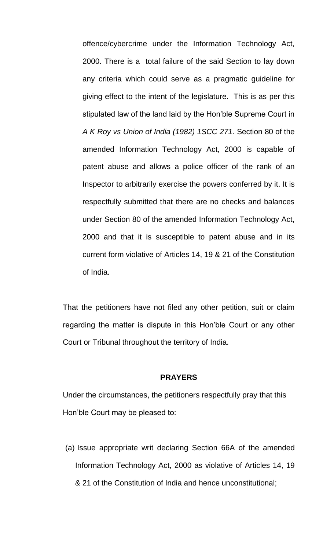offence/cybercrime under the Information Technology Act, 2000. There is a total failure of the said Section to lay down any criteria which could serve as a pragmatic guideline for giving effect to the intent of the legislature. This is as per this stipulated law of the land laid by the Hon'ble Supreme Court in *A K Roy vs Union of India (1982) 1SCC 271*. Section 80 of the amended Information Technology Act, 2000 is capable of patent abuse and allows a police officer of the rank of an Inspector to arbitrarily exercise the powers conferred by it. It is respectfully submitted that there are no checks and balances under Section 80 of the amended Information Technology Act, 2000 and that it is susceptible to patent abuse and in its current form violative of Articles 14, 19 & 21 of the Constitution of India.

That the petitioners have not filed any other petition, suit or claim regarding the matter is dispute in this Hon'ble Court or any other Court or Tribunal throughout the territory of India.

#### **PRAYERS**

Under the circumstances, the petitioners respectfully pray that this Hon'ble Court may be pleased to:

(a) Issue appropriate writ declaring Section 66A of the amended Information Technology Act, 2000 as violative of Articles 14, 19 & 21 of the Constitution of India and hence unconstitutional;